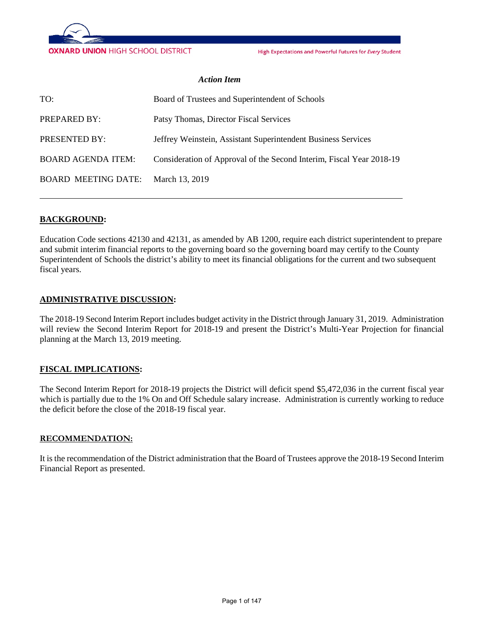

High Expectations and Powerful Futures for Every Student

#### *Action Item*

| TO:                        | Board of Trustees and Superintendent of Schools                      |
|----------------------------|----------------------------------------------------------------------|
| PREPARED BY:               | Patsy Thomas, Director Fiscal Services                               |
| PRESENTED BY:              | Jeffrey Weinstein, Assistant Superintendent Business Services        |
| <b>BOARD AGENDA ITEM:</b>  | Consideration of Approval of the Second Interim, Fiscal Year 2018-19 |
| <b>BOARD MEETING DATE:</b> | March 13, 2019                                                       |

### **BACKGROUND:**

Education Code sections 42130 and 42131, as amended by AB 1200, require each district superintendent to prepare and submit interim financial reports to the governing board so the governing board may certify to the County Superintendent of Schools the district's ability to meet its financial obligations for the current and two subsequent fiscal years.

### **ADMINISTRATIVE DISCUSSION:**

The 2018-19 Second Interim Report includes budget activity in the District through January 31, 2019. Administration will review the Second Interim Report for 2018-19 and present the District's Multi-Year Projection for financial planning at the March 13, 2019 meeting.

### **FISCAL IMPLICATIONS:**

The Second Interim Report for 2018-19 projects the District will deficit spend \$5,472,036 in the current fiscal year which is partially due to the 1% On and Off Schedule salary increase. Administration is currently working to reduce the deficit before the close of the 2018-19 fiscal year.

#### **RECOMMENDATION:**

It is the recommendation of the District administration that the Board of Trustees approve the 2018-19 Second Interim Financial Report as presented.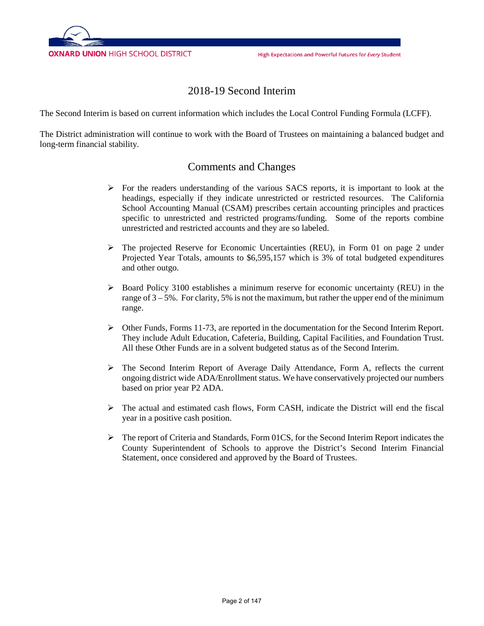

## 2018-19 Second Interim

The Second Interim is based on current information which includes the Local Control Funding Formula (LCFF).

The District administration will continue to work with the Board of Trustees on maintaining a balanced budget and long-term financial stability.

### Comments and Changes

- $\triangleright$  For the readers understanding of the various SACS reports, it is important to look at the headings, especially if they indicate unrestricted or restricted resources. The California School Accounting Manual (CSAM) prescribes certain accounting principles and practices specific to unrestricted and restricted programs/funding. Some of the reports combine unrestricted and restricted accounts and they are so labeled.
- $\triangleright$  The projected Reserve for Economic Uncertainties (REU), in Form 01 on page 2 under Projected Year Totals, amounts to \$6,595,157 which is 3% of total budgeted expenditures and other outgo.
- $\triangleright$  Board Policy 3100 establishes a minimum reserve for economic uncertainty (REU) in the range of  $3 - 5\%$ . For clarity, 5% is not the maximum, but rather the upper end of the minimum range.
- $\triangleright$  Other Funds, Forms 11-73, are reported in the documentation for the Second Interim Report. They include Adult Education, Cafeteria, Building, Capital Facilities, and Foundation Trust. All these Other Funds are in a solvent budgeted status as of the Second Interim.
- $\triangleright$  The Second Interim Report of Average Daily Attendance, Form A, reflects the current ongoing district wide ADA/Enrollment status. We have conservatively projected our numbers based on prior year P2 ADA.
- $\triangleright$  The actual and estimated cash flows, Form CASH, indicate the District will end the fiscal year in a positive cash position.
- $\triangleright$  The report of Criteria and Standards, Form 01CS, for the Second Interim Report indicates the County Superintendent of Schools to approve the District's Second Interim Financial Statement, once considered and approved by the Board of Trustees.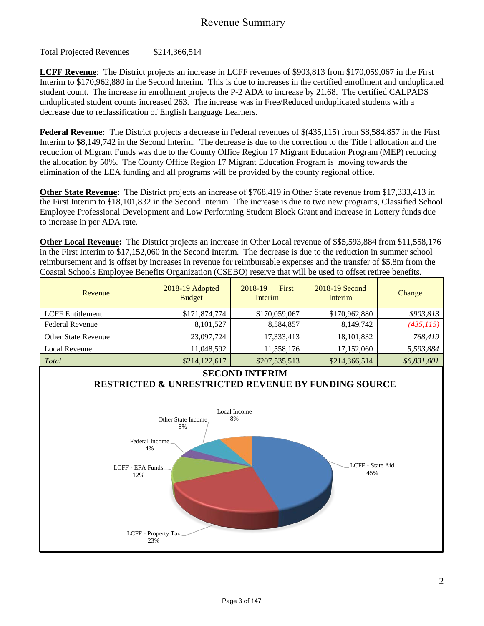### Revenue Summary

Total Projected Revenues \$214,366,514

**LCFF Revenue**: The District projects an increase in LCFF revenues of \$903,813 from \$170,059,067 in the First Interim to \$170,962,880 in the Second Interim. This is due to increases in the certified enrollment and unduplicated student count. The increase in enrollment projects the P-2 ADA to increase by 21.68. The certified CALPADS unduplicated student counts increased 263. The increase was in Free/Reduced unduplicated students with a decrease due to reclassification of English Language Learners.

**Federal Revenue:** The District projects a decrease in Federal revenues of \$(435,115) from \$8,584,857 in the First Interim to \$8,149,742 in the Second Interim. The decrease is due to the correction to the Title I allocation and the reduction of Migrant Funds was due to the County Office Region 17 Migrant Education Program (MEP) reducing the allocation by 50%. The County Office Region 17 Migrant Education Program is moving towards the elimination of the LEA funding and all programs will be provided by the county regional office.

**Other State Revenue:** The District projects an increase of \$768,419 in Other State revenue from \$17,333,413 in the First Interim to \$18,101,832 in the Second Interim. The increase is due to two new programs, Classified School Employee Professional Development and Low Performing Student Block Grant and increase in Lottery funds due to increase in per ADA rate.

**Other Local Revenue:** The District projects an increase in Other Local revenue of \$\$5,593,884 from \$11,558,176 in the First Interim to \$17,152,060 in the Second Interim. The decrease is due to the reduction in summer school reimbursement and is offset by increases in revenue for reimbursable expenses and the transfer of \$5.8m from the Coastal Schools Employee Benefits Organization (CSEBO) reserve that will be used to offset retiree benefits.

| Revenue                    | 2018-19 Adopted<br><b>Budget</b> | <b>First</b><br>2018-19<br>Interim | 2018-19 Second<br>Interim | Change      |
|----------------------------|----------------------------------|------------------------------------|---------------------------|-------------|
| <b>LCFF</b> Entitlement    | \$171,874,774                    | \$170,059,067                      | \$170,962,880             | \$903,813   |
| <b>Federal Revenue</b>     | 8,101,527                        | 8,584,857                          | 8,149,742                 | (435, 115)  |
| <b>Other State Revenue</b> | 23,097,724                       | 17,333,413                         | 18, 101, 832              | 768,419     |
| Local Revenue              | 11,048,592                       | 11,558,176                         | 17,152,060                | 5,593,884   |
| Total                      | \$214,122,617                    | \$207,535,513                      | \$214,366,514             | \$6,831,001 |

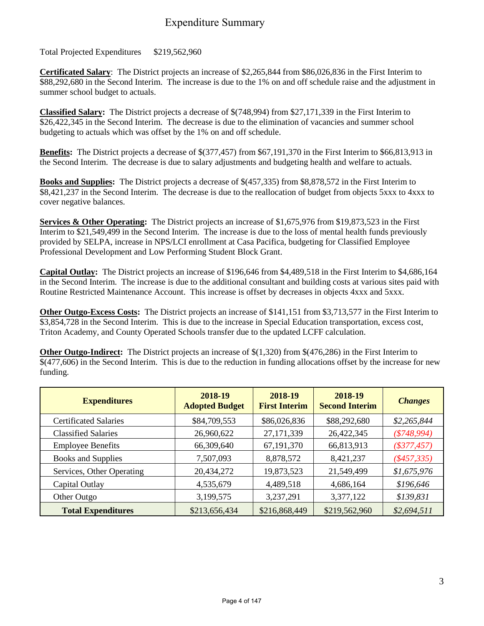## Expenditure Summary

Total Projected Expenditures \$219,562,960

**Certificated Salary**: The District projects an increase of \$2,265,844 from \$86,026,836 in the First Interim to \$88,292,680 in the Second Interim. The increase is due to the 1% on and off schedule raise and the adjustment in summer school budget to actuals.

**Classified Salary:** The District projects a decrease of \$(748,994) from \$27,171,339 in the First Interim to \$26,422,345 in the Second Interim. The decrease is due to the elimination of vacancies and summer school budgeting to actuals which was offset by the 1% on and off schedule.

**Benefits:** The District projects a decrease of \$(377,457) from \$67,191,370 in the First Interim to \$66,813,913 in the Second Interim. The decrease is due to salary adjustments and budgeting health and welfare to actuals.

**Books and Supplies:** The District projects a decrease of \$(457,335) from \$8,878,572 in the First Interim to \$8,421,237 in the Second Interim. The decrease is due to the reallocation of budget from objects 5xxx to 4xxx to cover negative balances.

**Services & Other Operating:** The District projects an increase of \$1,675,976 from \$19,873,523 in the First Interim to \$21,549,499 in the Second Interim. The increase is due to the loss of mental health funds previously provided by SELPA, increase in NPS/LCI enrollment at Casa Pacifica, budgeting for Classified Employee Professional Development and Low Performing Student Block Grant.

**Capital Outlay:** The District projects an increase of \$196,646 from \$4,489,518 in the First Interim to \$4,686,164 in the Second Interim. The increase is due to the additional consultant and building costs at various sites paid with Routine Restricted Maintenance Account. This increase is offset by decreases in objects 4xxx and 5xxx.

**Other Outgo-Excess Costs:** The District projects an increase of \$141,151 from \$3,713,577 in the First Interim to \$3,854,728 in the Second Interim. This is due to the increase in Special Education transportation, excess cost, Triton Academy, and County Operated Schools transfer due to the updated LCFF calculation.

**Other Outgo-Indirect:** The District projects an increase of \$(1,320) from \$(476,286) in the First Interim to \$(477,606) in the Second Interim. This is due to the reduction in funding allocations offset by the increase for new funding.

| <b>Expenditures</b>          | 2018-19<br><b>Adopted Budget</b> | 2018-19<br><b>First Interim</b> | 2018-19<br><b>Second Interim</b> | <b>Changes</b> |
|------------------------------|----------------------------------|---------------------------------|----------------------------------|----------------|
| <b>Certificated Salaries</b> | \$84,709,553                     | \$86,026,836                    | \$88,292,680                     | \$2,265,844    |
| <b>Classified Salaries</b>   | 26,960,622                       | 27,171,339                      | 26,422,345                       | $(*748,994)$   |
| <b>Employee Benefits</b>     | 66,309,640                       | 67,191,370                      | 66,813,913                       | $(\$377,457)$  |
| <b>Books and Supplies</b>    | 7,507,093                        | 8,878,572                       | 8,421,237                        | $(*457,335)$   |
| Services, Other Operating    | 20,434,272                       | 19,873,523                      | 21,549,499                       | \$1,675,976    |
| Capital Outlay               | 4,535,679                        | 4,489,518                       | 4,686,164                        | \$196,646      |
| Other Outgo                  | 3,199,575                        | 3,237,291                       | 3,377,122                        | \$139,831      |
| <b>Total Expenditures</b>    | \$213,656,434                    | \$216,868,449                   | \$219,562,960                    | \$2,694,511    |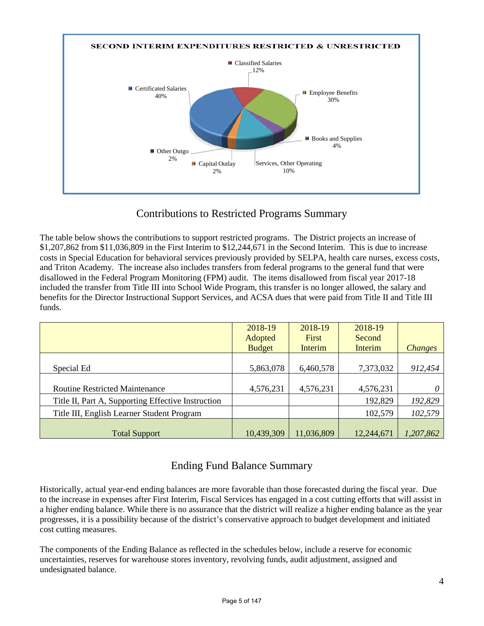

# Contributions to Restricted Programs Summary

The table below shows the contributions to support restricted programs. The District projects an increase of \$1,207,862 from \$11,036,809 in the First Interim to \$12,244,671 in the Second Interim. This is due to increase costs in Special Education for behavioral services previously provided by SELPA, health care nurses, excess costs, and Triton Academy. The increase also includes transfers from federal programs to the general fund that were disallowed in the Federal Program Monitoring (FPM) audit. The items disallowed from fiscal year 2017-18 included the transfer from Title III into School Wide Program, this transfer is no longer allowed, the salary and benefits for the Director Instructional Support Services, and ACSA dues that were paid from Title II and Title III funds.

|                                                    | 2018-19       | 2018-19    | 2018-19    |                |
|----------------------------------------------------|---------------|------------|------------|----------------|
|                                                    | Adopted       | First      | Second     |                |
|                                                    | <b>Budget</b> | Interim    | Interim    | <b>Changes</b> |
|                                                    |               |            |            |                |
| Special Ed                                         | 5,863,078     | 6,460,578  | 7,373,032  | 912,454        |
|                                                    |               |            |            |                |
| <b>Routine Restricted Maintenance</b>              | 4,576,231     | 4,576,231  | 4,576,231  |                |
| Title II, Part A, Supporting Effective Instruction |               |            | 192,829    | 192,829        |
| Title III, English Learner Student Program         |               |            | 102,579    | 102,579        |
|                                                    |               |            |            |                |
| <b>Total Support</b>                               | 10,439,309    | 11,036,809 | 12,244,671 | 1,207,862      |

# Ending Fund Balance Summary

Historically, actual year-end ending balances are more favorable than those forecasted during the fiscal year. Due to the increase in expenses after First Interim, Fiscal Services has engaged in a cost cutting efforts that will assist in a higher ending balance. While there is no assurance that the district will realize a higher ending balance as the year progresses, it is a possibility because of the district's conservative approach to budget development and initiated cost cutting measures.

The components of the Ending Balance as reflected in the schedules below, include a reserve for economic uncertainties, reserves for warehouse stores inventory, revolving funds, audit adjustment, assigned and undesignated balance.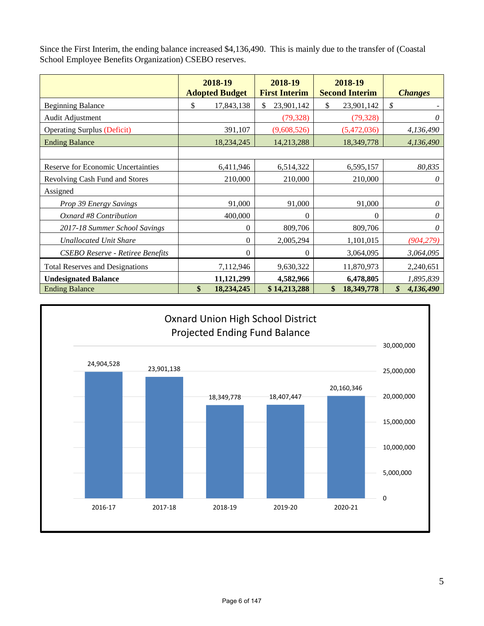Since the First Interim, the ending balance increased \$4,136,490. This is mainly due to the transfer of (Coastal School Employee Benefits Organization) CSEBO reserves.

|                                         | 2018-19<br><b>Adopted Budget</b> | 2018-19<br><b>First Interim</b> | 2018-19<br><b>Second Interim</b> | <b>Changes</b>  |
|-----------------------------------------|----------------------------------|---------------------------------|----------------------------------|-----------------|
| <b>Beginning Balance</b>                | \$<br>17,843,138                 | 23,901,142<br>\$.               | \$<br>23,901,142                 | \$              |
| Audit Adjustment                        |                                  | (79, 328)                       | (79, 328)                        | 0               |
| <b>Operating Surplus (Deficit)</b>      | 391,107                          | (9,608,526)                     | (5,472,036)                      | 4,136,490       |
| <b>Ending Balance</b>                   | 18,234,245                       | 14,213,288                      | 18,349,778                       | 4,136,490       |
|                                         |                                  |                                 |                                  |                 |
| Reserve for Economic Uncertainties      | 6,411,946                        | 6,514,322                       | 6,595,157                        | 80,835          |
| Revolving Cash Fund and Stores          | 210,000                          | 210,000                         | 210,000                          | 0               |
| Assigned                                |                                  |                                 |                                  |                 |
| Prop 39 Energy Savings                  | 91,000                           | 91,000                          | 91,000                           | 0               |
| Oxnard #8 Contribution                  | 400,000                          | $\theta$                        | $\theta$                         | 0               |
| 2017-18 Summer School Savings           |                                  | 809,706<br>$\theta$             | 809,706                          | 0               |
| <b>Unallocated Unit Share</b>           |                                  | $\theta$<br>2,005,294           | 1,101,015                        | (904, 279)      |
| <b>CSEBO Reserve - Retiree Benefits</b> |                                  | $\theta$<br>$\theta$            | 3,064,095                        | 3,064,095       |
| <b>Total Reserves and Designations</b>  | 7,112,946                        | 9,630,322                       | 11,870,973                       | 2,240,651       |
| <b>Undesignated Balance</b>             | 11,121,299                       | 4,582,966                       | 6,478,805                        | 1,895,839       |
| <b>Ending Balance</b>                   | \$<br>18,234,245                 | \$14,213,288                    | \$<br>18,349,778                 | \$<br>4,136,490 |

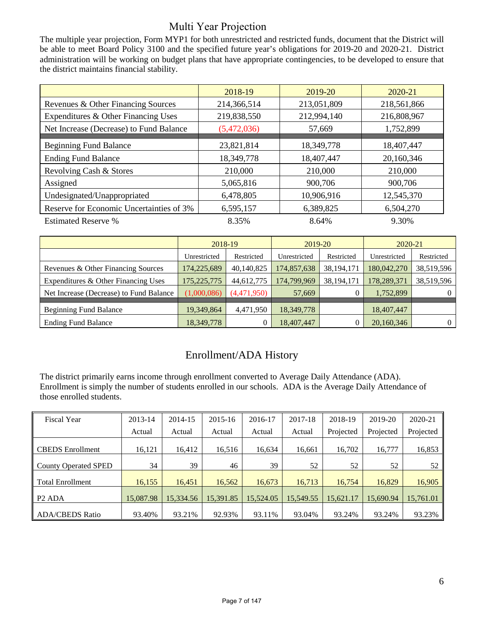# Multi Year Projection

The multiple year projection, Form MYP1 for both unrestricted and restricted funds, document that the District will be able to meet Board Policy 3100 and the specified future year's obligations for 2019-20 and 2020-21. District administration will be working on budget plans that have appropriate contingencies, to be developed to ensure that the district maintains financial stability.

|                                          | 2018-19     | 2019-20     | 2020-21     |
|------------------------------------------|-------------|-------------|-------------|
| Revenues & Other Financing Sources       | 214,366,514 | 213,051,809 | 218,561,866 |
| Expenditures & Other Financing Uses      | 219,838,550 | 212,994,140 | 216,808,967 |
| Net Increase (Decrease) to Fund Balance  | (5,472,036) | 57,669      | 1,752,899   |
|                                          |             |             |             |
| <b>Beginning Fund Balance</b>            | 23,821,814  | 18,349,778  | 18,407,447  |
| <b>Ending Fund Balance</b>               | 18,349,778  | 18,407,447  | 20,160,346  |
| Revolving Cash & Stores                  | 210,000     | 210,000     | 210,000     |
| Assigned                                 | 5,065,816   | 900,706     | 900,706     |
| Undesignated/Unappropriated              | 6,478,805   | 10,906,916  | 12,545,370  |
| Reserve for Economic Uncertainties of 3% | 6,595,157   | 6,389,825   | 6,504,270   |
| <b>Estimated Reserve %</b>               | 8.35%       | 8.64%       | 9.30%       |

|                                         | 2018-19       |             | 2019-20      |              | 2020-21      |                |
|-----------------------------------------|---------------|-------------|--------------|--------------|--------------|----------------|
|                                         | Unrestricted  | Restricted  | Unrestricted | Restricted   | Unrestricted | Restricted     |
| Revenues & Other Financing Sources      | 174,225,689   | 40,140,825  | 174,857,638  | 38, 194, 171 | 180,042,270  | 38,519,596     |
| Expenditures & Other Financing Uses     | 175, 225, 775 | 44,612,775  | 174,799,969  | 38, 194, 171 | 178,289,371  | 38,519,596     |
| Net Increase (Decrease) to Fund Balance | (1,000,086)   | (4,471,950) | 57,669       |              | 1,752,899    | $\overline{0}$ |
| <b>Beginning Fund Balance</b>           | 19,349,864    | 4,471,950   | 18,349,778   |              | 18,407,447   |                |
| <b>Ending Fund Balance</b>              | 18,349,778    |             | 18,407,447   |              | 20,160,346   | $\overline{0}$ |

## Enrollment/ADA History

The district primarily earns income through enrollment converted to Average Daily Attendance (ADA). Enrollment is simply the number of students enrolled in our schools. ADA is the Average Daily Attendance of those enrolled students.

| <b>Fiscal Year</b>             | 2013-14   | 2014-15   | 2015-16   | 2016-17   | 2017-18   | 2018-19   | 2019-20   | 2020-21   |
|--------------------------------|-----------|-----------|-----------|-----------|-----------|-----------|-----------|-----------|
|                                | Actual    | Actual    | Actual    | Actual    | Actual    | Projected | Projected | Projected |
| <b>CBEDS</b> Enrollment        | 16,121    | 16.412    | 16,516    | 16,634    | 16,661    | 16,702    | 16,777    | 16,853    |
| <b>County Operated SPED</b>    | 34        | 39        | 46        | 39        | 52        | 52        | 52        | 52        |
| <b>Total Enrollment</b>        | 16,155    | 16.451    | 16,562    | 16,673    | 16.713    | 16,754    | 16,829    | 16,905    |
| P <sub>2</sub> AD <sub>A</sub> | 15,087.98 | 15,334.56 | 15,391.85 | 15.524.05 | 15,549.55 | 15.621.17 | 15.690.94 | 15,761.01 |
| <b>ADA/CBEDS Ratio</b>         | 93.40%    | 93.21%    | 92.93%    | 93.11%    | 93.04%    | 93.24%    | 93.24%    | 93.23%    |